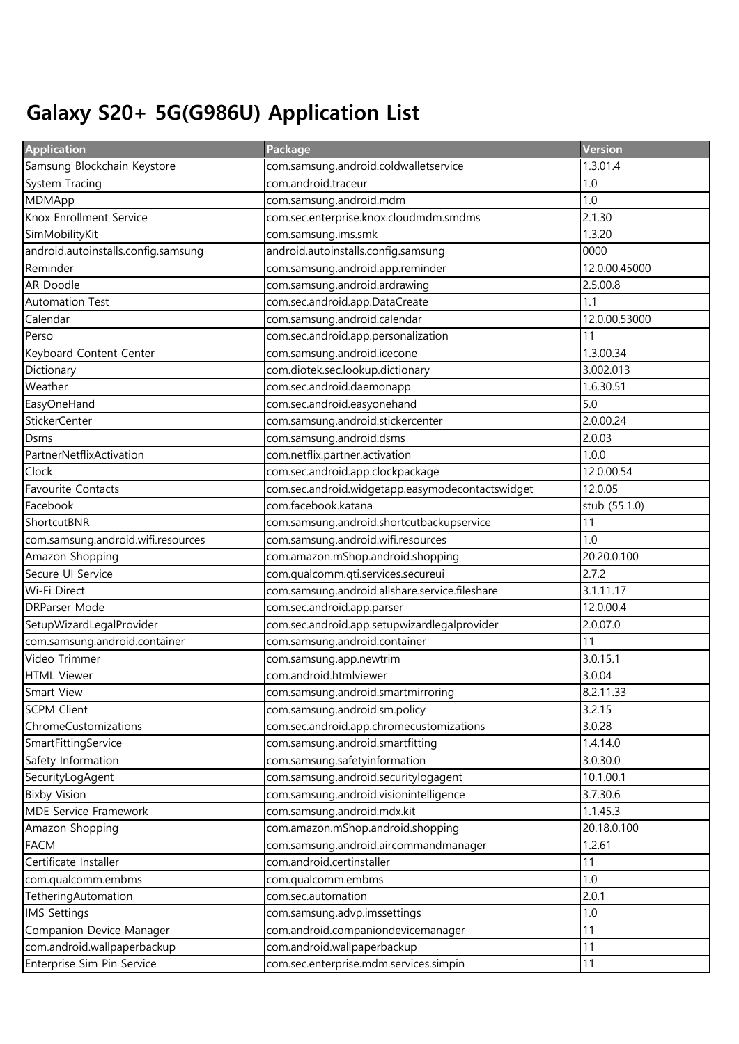## Galaxy S20+ 5G(G986U) Application List

| <b>Application</b>                  | Package                                          | Version       |
|-------------------------------------|--------------------------------------------------|---------------|
| Samsung Blockchain Keystore         | com.samsung.android.coldwalletservice            | 1.3.01.4      |
| System Tracing                      | com.android.traceur                              | 1.0           |
| MDMApp                              | com.samsung.android.mdm                          | 1.0           |
| Knox Enrollment Service             | com.sec.enterprise.knox.cloudmdm.smdms           | 2.1.30        |
| SimMobilityKit                      | com.samsung.ims.smk                              | 1.3.20        |
| android.autoinstalls.config.samsung | android.autoinstalls.config.samsung              | 0000          |
| Reminder                            | com.samsung.android.app.reminder                 | 12.0.00.45000 |
| AR Doodle                           | com.samsung.android.ardrawing                    | 2.5.00.8      |
| Automation Test                     | com.sec.android.app.DataCreate                   | 1.1           |
| Calendar                            | com.samsung.android.calendar                     | 12.0.00.53000 |
| Perso                               | com.sec.android.app.personalization              | 11            |
| Keyboard Content Center             | com.samsung.android.icecone                      | 1.3.00.34     |
| Dictionary                          | com.diotek.sec.lookup.dictionary                 | 3.002.013     |
| Weather                             | com.sec.android.daemonapp                        | 1.6.30.51     |
| EasyOneHand                         | com.sec.android.easyonehand                      | 5.0           |
| StickerCenter                       | com.samsung.android.stickercenter                | 2.0.00.24     |
| Dsms                                | com.samsung.android.dsms                         | 2.0.03        |
| PartnerNetflixActivation            | com.netflix.partner.activation                   | 1.0.0         |
| Clock                               | com.sec.android.app.clockpackage                 | 12.0.00.54    |
| Favourite Contacts                  | com.sec.android.widgetapp.easymodecontactswidget | 12.0.05       |
| Facebook                            | com.facebook.katana                              | stub (55.1.0) |
| ShortcutBNR                         | com.samsung.android.shortcutbackupservice        | 11            |
| com.samsung.android.wifi.resources  | com.samsung.android.wifi.resources               | 1.0           |
| Amazon Shopping                     | com.amazon.mShop.android.shopping                | 20.20.0.100   |
| Secure UI Service                   | com.qualcomm.qti.services.secureui               | 2.7.2         |
| Wi-Fi Direct                        | com.samsung.android.allshare.service.fileshare   | 3.1.11.17     |
| <b>DRParser Mode</b>                | com.sec.android.app.parser                       | 12.0.00.4     |
| SetupWizardLegalProvider            | com.sec.android.app.setupwizardlegalprovider     | 2.0.07.0      |
| com.samsung.android.container       | com.samsung.android.container                    | 11            |
| Video Trimmer                       | com.samsung.app.newtrim                          | 3.0.15.1      |
| <b>HTML Viewer</b>                  | com.android.htmlviewer                           | 3.0.04        |
| Smart View                          | com.samsung.android.smartmirroring               | 8.2.11.33     |
| <b>SCPM Client</b>                  | com.samsung.android.sm.policy                    | 3.2.15        |
| ChromeCustomizations                | com.sec.android.app.chromecustomizations         | 3.0.28        |
| SmartFittingService                 | com.samsung.android.smartfitting                 | 1.4.14.0      |
| Safety Information                  | com.samsung.safetyinformation                    | 3.0.30.0      |
| SecurityLogAgent                    | com.samsung.android.securitylogagent             | 10.1.00.1     |
| <b>Bixby Vision</b>                 | com.samsung.android.visionintelligence           | 3.7.30.6      |
| MDE Service Framework               | com.samsung.android.mdx.kit                      | 1.1.45.3      |
| Amazon Shopping                     | com.amazon.mShop.android.shopping                | 20.18.0.100   |
| <b>FACM</b>                         | com.samsung.android.aircommandmanager            | 1.2.61        |
| Certificate Installer               | com.android.certinstaller                        | 11            |
| com.qualcomm.embms                  | com.qualcomm.embms                               | 1.0           |
| TetheringAutomation                 | com.sec.automation                               | 2.0.1         |
| <b>IMS Settings</b>                 | com.samsung.advp.imssettings                     | 1.0           |
| Companion Device Manager            | com.android.companiondevicemanager               | 11            |
| com.android.wallpaperbackup         | com.android.wallpaperbackup                      | 11            |
| Enterprise Sim Pin Service          | com.sec.enterprise.mdm.services.simpin           | 11            |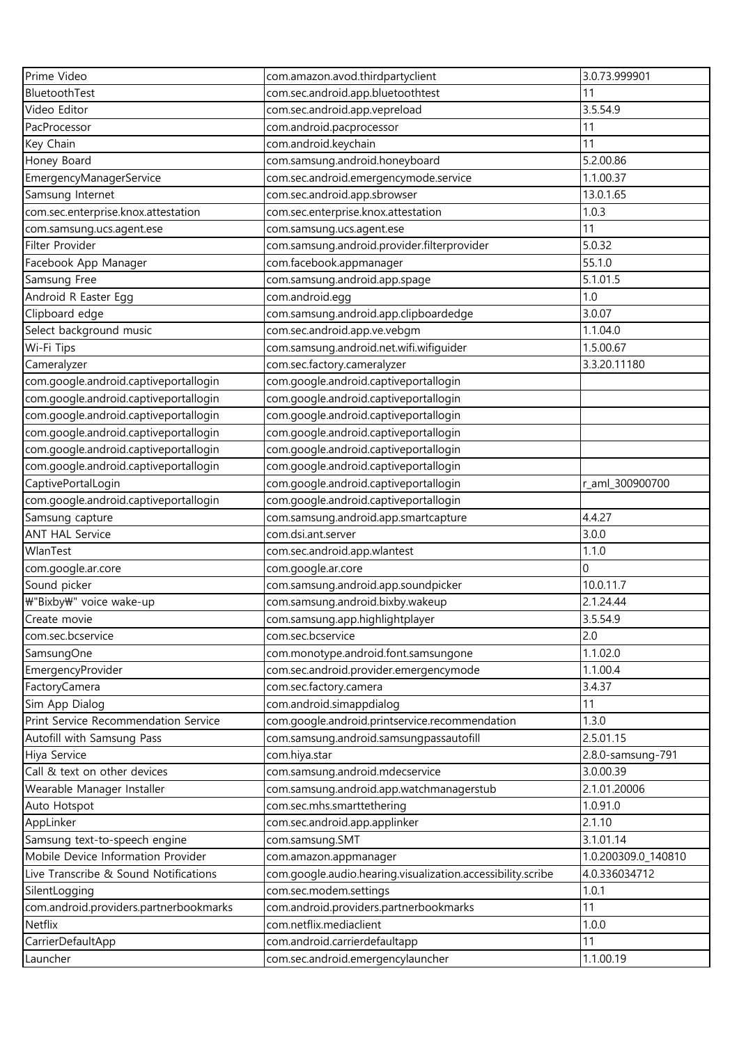| BluetoothTest<br>com.sec.android.app.bluetoothtest<br>11<br>3.5.54.9<br>Video Editor<br>com.sec.android.app.vepreload<br>PacProcessor<br>com.android.pacprocessor<br>11<br>com.android.keychain<br>11<br>Key Chain<br>5.2.00.86<br>Honey Board<br>com.samsung.android.honeyboard<br>EmergencyManagerService<br>com.sec.android.emergencymode.service<br>1.1.00.37<br>13.0.1.65<br>Samsung Internet<br>com.sec.android.app.sbrowser<br>com.sec.enterprise.knox.attestation<br>com.sec.enterprise.knox.attestation<br>1.0.3<br>11<br>com.samsung.ucs.agent.ese<br>com.samsung.ucs.agent.ese<br>Filter Provider<br>com.samsung.android.provider.filterprovider<br>5.0.32<br>com.facebook.appmanager<br>55.1.0<br>Facebook App Manager<br>com.samsung.android.app.spage<br>5.1.01.5<br>Samsung Free<br>1.0<br>Android R Easter Egg<br>com.android.egg<br>Clipboard edge<br>3.0.07<br>com.samsung.android.app.clipboardedge<br>Select background music<br>com.sec.android.app.ve.vebgm<br>1.1.04.0<br>Wi-Fi Tips<br>com.samsung.android.net.wifi.wifiguider<br>1.5.00.67<br>com.sec.factory.cameralyzer<br>3.3.20.11180<br>Cameralyzer<br>com.google.android.captiveportallogin<br>com.google.android.captiveportallogin<br>com.google.android.captiveportallogin<br>com.google.android.captiveportallogin<br>com.google.android.captiveportallogin<br>com.google.android.captiveportallogin<br>com.google.android.captiveportallogin<br>com.google.android.captiveportallogin<br>com.google.android.captiveportallogin<br>com.google.android.captiveportallogin<br>com.google.android.captiveportallogin<br>com.google.android.captiveportallogin<br>com.google.android.captiveportallogin<br>CaptivePortalLogin<br>r_aml_300900700<br>com.google.android.captiveportallogin<br>com.google.android.captiveportallogin<br>4.4.27<br>Samsung capture<br>com.samsung.android.app.smartcapture<br>3.0.0<br><b>ANT HAL Service</b><br>com.dsi.ant.server<br>WlanTest<br>1.1.0<br>com.sec.android.app.wlantest<br>com.google.ar.core<br>0<br>com.google.ar.core<br>Sound picker<br>10.0.11.7<br>com.samsung.android.app.soundpicker<br>\"Bixby\" voice wake-up<br>com.samsung.android.bixby.wakeup<br>2.1.24.44<br>Create movie<br>com.samsung.app.highlightplayer<br>3.5.54.9<br>2.0<br>com.sec.bcservice<br>com.sec.bcservice<br>1.1.02.0<br>com.monotype.android.font.samsungone<br>SamsungOne<br>com.sec.android.provider.emergencymode<br>EmergencyProvider<br>1.1.00.4<br>com.sec.factory.camera<br>FactoryCamera<br>3.4.37<br>Sim App Dialog<br>com.android.simappdialog<br>11<br>Print Service Recommendation Service<br>com.google.android.printservice.recommendation<br>1.3.0<br>Autofill with Samsung Pass<br>com.samsung.android.samsungpassautofill<br>2.5.01.15<br>Hiya Service<br>com.hiya.star<br>2.8.0-samsung-791<br>Call & text on other devices<br>com.samsung.android.mdecservice<br>3.0.00.39<br>Wearable Manager Installer<br>com.samsung.android.app.watchmanagerstub<br>2.1.01.20006<br>com.sec.mhs.smarttethering<br>Auto Hotspot<br>1.0.91.0<br>AppLinker<br>2.1.10<br>com.sec.android.app.applinker<br>Samsung text-to-speech engine<br>3.1.01.14<br>com.samsung.SMT<br>Mobile Device Information Provider<br>1.0.200309.0_140810<br>com.amazon.appmanager<br>com.google.audio.hearing.visualization.accessibility.scribe<br>Live Transcribe & Sound Notifications<br>4.0.336034712<br>com.sec.modem.settings<br>1.0.1<br>SilentLogging<br>com.android.providers.partnerbookmarks<br>11<br>com.android.providers.partnerbookmarks<br>com.netflix.mediaclient<br>Netflix<br>1.0.0<br>11<br>CarrierDefaultApp<br>com.android.carrierdefaultapp<br>Launcher<br>com.sec.android.emergencylauncher<br>1.1.00.19 | Prime Video | com.amazon.avod.thirdpartyclient | 3.0.73.999901 |
|-------------------------------------------------------------------------------------------------------------------------------------------------------------------------------------------------------------------------------------------------------------------------------------------------------------------------------------------------------------------------------------------------------------------------------------------------------------------------------------------------------------------------------------------------------------------------------------------------------------------------------------------------------------------------------------------------------------------------------------------------------------------------------------------------------------------------------------------------------------------------------------------------------------------------------------------------------------------------------------------------------------------------------------------------------------------------------------------------------------------------------------------------------------------------------------------------------------------------------------------------------------------------------------------------------------------------------------------------------------------------------------------------------------------------------------------------------------------------------------------------------------------------------------------------------------------------------------------------------------------------------------------------------------------------------------------------------------------------------------------------------------------------------------------------------------------------------------------------------------------------------------------------------------------------------------------------------------------------------------------------------------------------------------------------------------------------------------------------------------------------------------------------------------------------------------------------------------------------------------------------------------------------------------------------------------------------------------------------------------------------------------------------------------------------------------------------------------------------------------------------------------------------------------------------------------------------------------------------------------------------------------------------------------------------------------------------------------------------------------------------------------------------------------------------------------------------------------------------------------------------------------------------------------------------------------------------------------------------------------------------------------------------------------------------------------------------------------------------------------------------------------------------------------------------------------------------------------------------------------------------------------------------------------------------------------------------------------------------------------------------------------------------------------------------------------------------------------------------------------------------------------------------------------------------------------------------------------------------------------------------------------------------------------------------------------------------------------------------------|-------------|----------------------------------|---------------|
|                                                                                                                                                                                                                                                                                                                                                                                                                                                                                                                                                                                                                                                                                                                                                                                                                                                                                                                                                                                                                                                                                                                                                                                                                                                                                                                                                                                                                                                                                                                                                                                                                                                                                                                                                                                                                                                                                                                                                                                                                                                                                                                                                                                                                                                                                                                                                                                                                                                                                                                                                                                                                                                                                                                                                                                                                                                                                                                                                                                                                                                                                                                                                                                                                                                                                                                                                                                                                                                                                                                                                                                                                                                                                                                               |             |                                  |               |
|                                                                                                                                                                                                                                                                                                                                                                                                                                                                                                                                                                                                                                                                                                                                                                                                                                                                                                                                                                                                                                                                                                                                                                                                                                                                                                                                                                                                                                                                                                                                                                                                                                                                                                                                                                                                                                                                                                                                                                                                                                                                                                                                                                                                                                                                                                                                                                                                                                                                                                                                                                                                                                                                                                                                                                                                                                                                                                                                                                                                                                                                                                                                                                                                                                                                                                                                                                                                                                                                                                                                                                                                                                                                                                                               |             |                                  |               |
|                                                                                                                                                                                                                                                                                                                                                                                                                                                                                                                                                                                                                                                                                                                                                                                                                                                                                                                                                                                                                                                                                                                                                                                                                                                                                                                                                                                                                                                                                                                                                                                                                                                                                                                                                                                                                                                                                                                                                                                                                                                                                                                                                                                                                                                                                                                                                                                                                                                                                                                                                                                                                                                                                                                                                                                                                                                                                                                                                                                                                                                                                                                                                                                                                                                                                                                                                                                                                                                                                                                                                                                                                                                                                                                               |             |                                  |               |
|                                                                                                                                                                                                                                                                                                                                                                                                                                                                                                                                                                                                                                                                                                                                                                                                                                                                                                                                                                                                                                                                                                                                                                                                                                                                                                                                                                                                                                                                                                                                                                                                                                                                                                                                                                                                                                                                                                                                                                                                                                                                                                                                                                                                                                                                                                                                                                                                                                                                                                                                                                                                                                                                                                                                                                                                                                                                                                                                                                                                                                                                                                                                                                                                                                                                                                                                                                                                                                                                                                                                                                                                                                                                                                                               |             |                                  |               |
|                                                                                                                                                                                                                                                                                                                                                                                                                                                                                                                                                                                                                                                                                                                                                                                                                                                                                                                                                                                                                                                                                                                                                                                                                                                                                                                                                                                                                                                                                                                                                                                                                                                                                                                                                                                                                                                                                                                                                                                                                                                                                                                                                                                                                                                                                                                                                                                                                                                                                                                                                                                                                                                                                                                                                                                                                                                                                                                                                                                                                                                                                                                                                                                                                                                                                                                                                                                                                                                                                                                                                                                                                                                                                                                               |             |                                  |               |
|                                                                                                                                                                                                                                                                                                                                                                                                                                                                                                                                                                                                                                                                                                                                                                                                                                                                                                                                                                                                                                                                                                                                                                                                                                                                                                                                                                                                                                                                                                                                                                                                                                                                                                                                                                                                                                                                                                                                                                                                                                                                                                                                                                                                                                                                                                                                                                                                                                                                                                                                                                                                                                                                                                                                                                                                                                                                                                                                                                                                                                                                                                                                                                                                                                                                                                                                                                                                                                                                                                                                                                                                                                                                                                                               |             |                                  |               |
|                                                                                                                                                                                                                                                                                                                                                                                                                                                                                                                                                                                                                                                                                                                                                                                                                                                                                                                                                                                                                                                                                                                                                                                                                                                                                                                                                                                                                                                                                                                                                                                                                                                                                                                                                                                                                                                                                                                                                                                                                                                                                                                                                                                                                                                                                                                                                                                                                                                                                                                                                                                                                                                                                                                                                                                                                                                                                                                                                                                                                                                                                                                                                                                                                                                                                                                                                                                                                                                                                                                                                                                                                                                                                                                               |             |                                  |               |
|                                                                                                                                                                                                                                                                                                                                                                                                                                                                                                                                                                                                                                                                                                                                                                                                                                                                                                                                                                                                                                                                                                                                                                                                                                                                                                                                                                                                                                                                                                                                                                                                                                                                                                                                                                                                                                                                                                                                                                                                                                                                                                                                                                                                                                                                                                                                                                                                                                                                                                                                                                                                                                                                                                                                                                                                                                                                                                                                                                                                                                                                                                                                                                                                                                                                                                                                                                                                                                                                                                                                                                                                                                                                                                                               |             |                                  |               |
|                                                                                                                                                                                                                                                                                                                                                                                                                                                                                                                                                                                                                                                                                                                                                                                                                                                                                                                                                                                                                                                                                                                                                                                                                                                                                                                                                                                                                                                                                                                                                                                                                                                                                                                                                                                                                                                                                                                                                                                                                                                                                                                                                                                                                                                                                                                                                                                                                                                                                                                                                                                                                                                                                                                                                                                                                                                                                                                                                                                                                                                                                                                                                                                                                                                                                                                                                                                                                                                                                                                                                                                                                                                                                                                               |             |                                  |               |
|                                                                                                                                                                                                                                                                                                                                                                                                                                                                                                                                                                                                                                                                                                                                                                                                                                                                                                                                                                                                                                                                                                                                                                                                                                                                                                                                                                                                                                                                                                                                                                                                                                                                                                                                                                                                                                                                                                                                                                                                                                                                                                                                                                                                                                                                                                                                                                                                                                                                                                                                                                                                                                                                                                                                                                                                                                                                                                                                                                                                                                                                                                                                                                                                                                                                                                                                                                                                                                                                                                                                                                                                                                                                                                                               |             |                                  |               |
|                                                                                                                                                                                                                                                                                                                                                                                                                                                                                                                                                                                                                                                                                                                                                                                                                                                                                                                                                                                                                                                                                                                                                                                                                                                                                                                                                                                                                                                                                                                                                                                                                                                                                                                                                                                                                                                                                                                                                                                                                                                                                                                                                                                                                                                                                                                                                                                                                                                                                                                                                                                                                                                                                                                                                                                                                                                                                                                                                                                                                                                                                                                                                                                                                                                                                                                                                                                                                                                                                                                                                                                                                                                                                                                               |             |                                  |               |
|                                                                                                                                                                                                                                                                                                                                                                                                                                                                                                                                                                                                                                                                                                                                                                                                                                                                                                                                                                                                                                                                                                                                                                                                                                                                                                                                                                                                                                                                                                                                                                                                                                                                                                                                                                                                                                                                                                                                                                                                                                                                                                                                                                                                                                                                                                                                                                                                                                                                                                                                                                                                                                                                                                                                                                                                                                                                                                                                                                                                                                                                                                                                                                                                                                                                                                                                                                                                                                                                                                                                                                                                                                                                                                                               |             |                                  |               |
|                                                                                                                                                                                                                                                                                                                                                                                                                                                                                                                                                                                                                                                                                                                                                                                                                                                                                                                                                                                                                                                                                                                                                                                                                                                                                                                                                                                                                                                                                                                                                                                                                                                                                                                                                                                                                                                                                                                                                                                                                                                                                                                                                                                                                                                                                                                                                                                                                                                                                                                                                                                                                                                                                                                                                                                                                                                                                                                                                                                                                                                                                                                                                                                                                                                                                                                                                                                                                                                                                                                                                                                                                                                                                                                               |             |                                  |               |
|                                                                                                                                                                                                                                                                                                                                                                                                                                                                                                                                                                                                                                                                                                                                                                                                                                                                                                                                                                                                                                                                                                                                                                                                                                                                                                                                                                                                                                                                                                                                                                                                                                                                                                                                                                                                                                                                                                                                                                                                                                                                                                                                                                                                                                                                                                                                                                                                                                                                                                                                                                                                                                                                                                                                                                                                                                                                                                                                                                                                                                                                                                                                                                                                                                                                                                                                                                                                                                                                                                                                                                                                                                                                                                                               |             |                                  |               |
|                                                                                                                                                                                                                                                                                                                                                                                                                                                                                                                                                                                                                                                                                                                                                                                                                                                                                                                                                                                                                                                                                                                                                                                                                                                                                                                                                                                                                                                                                                                                                                                                                                                                                                                                                                                                                                                                                                                                                                                                                                                                                                                                                                                                                                                                                                                                                                                                                                                                                                                                                                                                                                                                                                                                                                                                                                                                                                                                                                                                                                                                                                                                                                                                                                                                                                                                                                                                                                                                                                                                                                                                                                                                                                                               |             |                                  |               |
|                                                                                                                                                                                                                                                                                                                                                                                                                                                                                                                                                                                                                                                                                                                                                                                                                                                                                                                                                                                                                                                                                                                                                                                                                                                                                                                                                                                                                                                                                                                                                                                                                                                                                                                                                                                                                                                                                                                                                                                                                                                                                                                                                                                                                                                                                                                                                                                                                                                                                                                                                                                                                                                                                                                                                                                                                                                                                                                                                                                                                                                                                                                                                                                                                                                                                                                                                                                                                                                                                                                                                                                                                                                                                                                               |             |                                  |               |
|                                                                                                                                                                                                                                                                                                                                                                                                                                                                                                                                                                                                                                                                                                                                                                                                                                                                                                                                                                                                                                                                                                                                                                                                                                                                                                                                                                                                                                                                                                                                                                                                                                                                                                                                                                                                                                                                                                                                                                                                                                                                                                                                                                                                                                                                                                                                                                                                                                                                                                                                                                                                                                                                                                                                                                                                                                                                                                                                                                                                                                                                                                                                                                                                                                                                                                                                                                                                                                                                                                                                                                                                                                                                                                                               |             |                                  |               |
|                                                                                                                                                                                                                                                                                                                                                                                                                                                                                                                                                                                                                                                                                                                                                                                                                                                                                                                                                                                                                                                                                                                                                                                                                                                                                                                                                                                                                                                                                                                                                                                                                                                                                                                                                                                                                                                                                                                                                                                                                                                                                                                                                                                                                                                                                                                                                                                                                                                                                                                                                                                                                                                                                                                                                                                                                                                                                                                                                                                                                                                                                                                                                                                                                                                                                                                                                                                                                                                                                                                                                                                                                                                                                                                               |             |                                  |               |
|                                                                                                                                                                                                                                                                                                                                                                                                                                                                                                                                                                                                                                                                                                                                                                                                                                                                                                                                                                                                                                                                                                                                                                                                                                                                                                                                                                                                                                                                                                                                                                                                                                                                                                                                                                                                                                                                                                                                                                                                                                                                                                                                                                                                                                                                                                                                                                                                                                                                                                                                                                                                                                                                                                                                                                                                                                                                                                                                                                                                                                                                                                                                                                                                                                                                                                                                                                                                                                                                                                                                                                                                                                                                                                                               |             |                                  |               |
|                                                                                                                                                                                                                                                                                                                                                                                                                                                                                                                                                                                                                                                                                                                                                                                                                                                                                                                                                                                                                                                                                                                                                                                                                                                                                                                                                                                                                                                                                                                                                                                                                                                                                                                                                                                                                                                                                                                                                                                                                                                                                                                                                                                                                                                                                                                                                                                                                                                                                                                                                                                                                                                                                                                                                                                                                                                                                                                                                                                                                                                                                                                                                                                                                                                                                                                                                                                                                                                                                                                                                                                                                                                                                                                               |             |                                  |               |
|                                                                                                                                                                                                                                                                                                                                                                                                                                                                                                                                                                                                                                                                                                                                                                                                                                                                                                                                                                                                                                                                                                                                                                                                                                                                                                                                                                                                                                                                                                                                                                                                                                                                                                                                                                                                                                                                                                                                                                                                                                                                                                                                                                                                                                                                                                                                                                                                                                                                                                                                                                                                                                                                                                                                                                                                                                                                                                                                                                                                                                                                                                                                                                                                                                                                                                                                                                                                                                                                                                                                                                                                                                                                                                                               |             |                                  |               |
|                                                                                                                                                                                                                                                                                                                                                                                                                                                                                                                                                                                                                                                                                                                                                                                                                                                                                                                                                                                                                                                                                                                                                                                                                                                                                                                                                                                                                                                                                                                                                                                                                                                                                                                                                                                                                                                                                                                                                                                                                                                                                                                                                                                                                                                                                                                                                                                                                                                                                                                                                                                                                                                                                                                                                                                                                                                                                                                                                                                                                                                                                                                                                                                                                                                                                                                                                                                                                                                                                                                                                                                                                                                                                                                               |             |                                  |               |
|                                                                                                                                                                                                                                                                                                                                                                                                                                                                                                                                                                                                                                                                                                                                                                                                                                                                                                                                                                                                                                                                                                                                                                                                                                                                                                                                                                                                                                                                                                                                                                                                                                                                                                                                                                                                                                                                                                                                                                                                                                                                                                                                                                                                                                                                                                                                                                                                                                                                                                                                                                                                                                                                                                                                                                                                                                                                                                                                                                                                                                                                                                                                                                                                                                                                                                                                                                                                                                                                                                                                                                                                                                                                                                                               |             |                                  |               |
|                                                                                                                                                                                                                                                                                                                                                                                                                                                                                                                                                                                                                                                                                                                                                                                                                                                                                                                                                                                                                                                                                                                                                                                                                                                                                                                                                                                                                                                                                                                                                                                                                                                                                                                                                                                                                                                                                                                                                                                                                                                                                                                                                                                                                                                                                                                                                                                                                                                                                                                                                                                                                                                                                                                                                                                                                                                                                                                                                                                                                                                                                                                                                                                                                                                                                                                                                                                                                                                                                                                                                                                                                                                                                                                               |             |                                  |               |
|                                                                                                                                                                                                                                                                                                                                                                                                                                                                                                                                                                                                                                                                                                                                                                                                                                                                                                                                                                                                                                                                                                                                                                                                                                                                                                                                                                                                                                                                                                                                                                                                                                                                                                                                                                                                                                                                                                                                                                                                                                                                                                                                                                                                                                                                                                                                                                                                                                                                                                                                                                                                                                                                                                                                                                                                                                                                                                                                                                                                                                                                                                                                                                                                                                                                                                                                                                                                                                                                                                                                                                                                                                                                                                                               |             |                                  |               |
|                                                                                                                                                                                                                                                                                                                                                                                                                                                                                                                                                                                                                                                                                                                                                                                                                                                                                                                                                                                                                                                                                                                                                                                                                                                                                                                                                                                                                                                                                                                                                                                                                                                                                                                                                                                                                                                                                                                                                                                                                                                                                                                                                                                                                                                                                                                                                                                                                                                                                                                                                                                                                                                                                                                                                                                                                                                                                                                                                                                                                                                                                                                                                                                                                                                                                                                                                                                                                                                                                                                                                                                                                                                                                                                               |             |                                  |               |
|                                                                                                                                                                                                                                                                                                                                                                                                                                                                                                                                                                                                                                                                                                                                                                                                                                                                                                                                                                                                                                                                                                                                                                                                                                                                                                                                                                                                                                                                                                                                                                                                                                                                                                                                                                                                                                                                                                                                                                                                                                                                                                                                                                                                                                                                                                                                                                                                                                                                                                                                                                                                                                                                                                                                                                                                                                                                                                                                                                                                                                                                                                                                                                                                                                                                                                                                                                                                                                                                                                                                                                                                                                                                                                                               |             |                                  |               |
|                                                                                                                                                                                                                                                                                                                                                                                                                                                                                                                                                                                                                                                                                                                                                                                                                                                                                                                                                                                                                                                                                                                                                                                                                                                                                                                                                                                                                                                                                                                                                                                                                                                                                                                                                                                                                                                                                                                                                                                                                                                                                                                                                                                                                                                                                                                                                                                                                                                                                                                                                                                                                                                                                                                                                                                                                                                                                                                                                                                                                                                                                                                                                                                                                                                                                                                                                                                                                                                                                                                                                                                                                                                                                                                               |             |                                  |               |
|                                                                                                                                                                                                                                                                                                                                                                                                                                                                                                                                                                                                                                                                                                                                                                                                                                                                                                                                                                                                                                                                                                                                                                                                                                                                                                                                                                                                                                                                                                                                                                                                                                                                                                                                                                                                                                                                                                                                                                                                                                                                                                                                                                                                                                                                                                                                                                                                                                                                                                                                                                                                                                                                                                                                                                                                                                                                                                                                                                                                                                                                                                                                                                                                                                                                                                                                                                                                                                                                                                                                                                                                                                                                                                                               |             |                                  |               |
|                                                                                                                                                                                                                                                                                                                                                                                                                                                                                                                                                                                                                                                                                                                                                                                                                                                                                                                                                                                                                                                                                                                                                                                                                                                                                                                                                                                                                                                                                                                                                                                                                                                                                                                                                                                                                                                                                                                                                                                                                                                                                                                                                                                                                                                                                                                                                                                                                                                                                                                                                                                                                                                                                                                                                                                                                                                                                                                                                                                                                                                                                                                                                                                                                                                                                                                                                                                                                                                                                                                                                                                                                                                                                                                               |             |                                  |               |
|                                                                                                                                                                                                                                                                                                                                                                                                                                                                                                                                                                                                                                                                                                                                                                                                                                                                                                                                                                                                                                                                                                                                                                                                                                                                                                                                                                                                                                                                                                                                                                                                                                                                                                                                                                                                                                                                                                                                                                                                                                                                                                                                                                                                                                                                                                                                                                                                                                                                                                                                                                                                                                                                                                                                                                                                                                                                                                                                                                                                                                                                                                                                                                                                                                                                                                                                                                                                                                                                                                                                                                                                                                                                                                                               |             |                                  |               |
|                                                                                                                                                                                                                                                                                                                                                                                                                                                                                                                                                                                                                                                                                                                                                                                                                                                                                                                                                                                                                                                                                                                                                                                                                                                                                                                                                                                                                                                                                                                                                                                                                                                                                                                                                                                                                                                                                                                                                                                                                                                                                                                                                                                                                                                                                                                                                                                                                                                                                                                                                                                                                                                                                                                                                                                                                                                                                                                                                                                                                                                                                                                                                                                                                                                                                                                                                                                                                                                                                                                                                                                                                                                                                                                               |             |                                  |               |
|                                                                                                                                                                                                                                                                                                                                                                                                                                                                                                                                                                                                                                                                                                                                                                                                                                                                                                                                                                                                                                                                                                                                                                                                                                                                                                                                                                                                                                                                                                                                                                                                                                                                                                                                                                                                                                                                                                                                                                                                                                                                                                                                                                                                                                                                                                                                                                                                                                                                                                                                                                                                                                                                                                                                                                                                                                                                                                                                                                                                                                                                                                                                                                                                                                                                                                                                                                                                                                                                                                                                                                                                                                                                                                                               |             |                                  |               |
|                                                                                                                                                                                                                                                                                                                                                                                                                                                                                                                                                                                                                                                                                                                                                                                                                                                                                                                                                                                                                                                                                                                                                                                                                                                                                                                                                                                                                                                                                                                                                                                                                                                                                                                                                                                                                                                                                                                                                                                                                                                                                                                                                                                                                                                                                                                                                                                                                                                                                                                                                                                                                                                                                                                                                                                                                                                                                                                                                                                                                                                                                                                                                                                                                                                                                                                                                                                                                                                                                                                                                                                                                                                                                                                               |             |                                  |               |
|                                                                                                                                                                                                                                                                                                                                                                                                                                                                                                                                                                                                                                                                                                                                                                                                                                                                                                                                                                                                                                                                                                                                                                                                                                                                                                                                                                                                                                                                                                                                                                                                                                                                                                                                                                                                                                                                                                                                                                                                                                                                                                                                                                                                                                                                                                                                                                                                                                                                                                                                                                                                                                                                                                                                                                                                                                                                                                                                                                                                                                                                                                                                                                                                                                                                                                                                                                                                                                                                                                                                                                                                                                                                                                                               |             |                                  |               |
|                                                                                                                                                                                                                                                                                                                                                                                                                                                                                                                                                                                                                                                                                                                                                                                                                                                                                                                                                                                                                                                                                                                                                                                                                                                                                                                                                                                                                                                                                                                                                                                                                                                                                                                                                                                                                                                                                                                                                                                                                                                                                                                                                                                                                                                                                                                                                                                                                                                                                                                                                                                                                                                                                                                                                                                                                                                                                                                                                                                                                                                                                                                                                                                                                                                                                                                                                                                                                                                                                                                                                                                                                                                                                                                               |             |                                  |               |
|                                                                                                                                                                                                                                                                                                                                                                                                                                                                                                                                                                                                                                                                                                                                                                                                                                                                                                                                                                                                                                                                                                                                                                                                                                                                                                                                                                                                                                                                                                                                                                                                                                                                                                                                                                                                                                                                                                                                                                                                                                                                                                                                                                                                                                                                                                                                                                                                                                                                                                                                                                                                                                                                                                                                                                                                                                                                                                                                                                                                                                                                                                                                                                                                                                                                                                                                                                                                                                                                                                                                                                                                                                                                                                                               |             |                                  |               |
|                                                                                                                                                                                                                                                                                                                                                                                                                                                                                                                                                                                                                                                                                                                                                                                                                                                                                                                                                                                                                                                                                                                                                                                                                                                                                                                                                                                                                                                                                                                                                                                                                                                                                                                                                                                                                                                                                                                                                                                                                                                                                                                                                                                                                                                                                                                                                                                                                                                                                                                                                                                                                                                                                                                                                                                                                                                                                                                                                                                                                                                                                                                                                                                                                                                                                                                                                                                                                                                                                                                                                                                                                                                                                                                               |             |                                  |               |
|                                                                                                                                                                                                                                                                                                                                                                                                                                                                                                                                                                                                                                                                                                                                                                                                                                                                                                                                                                                                                                                                                                                                                                                                                                                                                                                                                                                                                                                                                                                                                                                                                                                                                                                                                                                                                                                                                                                                                                                                                                                                                                                                                                                                                                                                                                                                                                                                                                                                                                                                                                                                                                                                                                                                                                                                                                                                                                                                                                                                                                                                                                                                                                                                                                                                                                                                                                                                                                                                                                                                                                                                                                                                                                                               |             |                                  |               |
|                                                                                                                                                                                                                                                                                                                                                                                                                                                                                                                                                                                                                                                                                                                                                                                                                                                                                                                                                                                                                                                                                                                                                                                                                                                                                                                                                                                                                                                                                                                                                                                                                                                                                                                                                                                                                                                                                                                                                                                                                                                                                                                                                                                                                                                                                                                                                                                                                                                                                                                                                                                                                                                                                                                                                                                                                                                                                                                                                                                                                                                                                                                                                                                                                                                                                                                                                                                                                                                                                                                                                                                                                                                                                                                               |             |                                  |               |
|                                                                                                                                                                                                                                                                                                                                                                                                                                                                                                                                                                                                                                                                                                                                                                                                                                                                                                                                                                                                                                                                                                                                                                                                                                                                                                                                                                                                                                                                                                                                                                                                                                                                                                                                                                                                                                                                                                                                                                                                                                                                                                                                                                                                                                                                                                                                                                                                                                                                                                                                                                                                                                                                                                                                                                                                                                                                                                                                                                                                                                                                                                                                                                                                                                                                                                                                                                                                                                                                                                                                                                                                                                                                                                                               |             |                                  |               |
|                                                                                                                                                                                                                                                                                                                                                                                                                                                                                                                                                                                                                                                                                                                                                                                                                                                                                                                                                                                                                                                                                                                                                                                                                                                                                                                                                                                                                                                                                                                                                                                                                                                                                                                                                                                                                                                                                                                                                                                                                                                                                                                                                                                                                                                                                                                                                                                                                                                                                                                                                                                                                                                                                                                                                                                                                                                                                                                                                                                                                                                                                                                                                                                                                                                                                                                                                                                                                                                                                                                                                                                                                                                                                                                               |             |                                  |               |
|                                                                                                                                                                                                                                                                                                                                                                                                                                                                                                                                                                                                                                                                                                                                                                                                                                                                                                                                                                                                                                                                                                                                                                                                                                                                                                                                                                                                                                                                                                                                                                                                                                                                                                                                                                                                                                                                                                                                                                                                                                                                                                                                                                                                                                                                                                                                                                                                                                                                                                                                                                                                                                                                                                                                                                                                                                                                                                                                                                                                                                                                                                                                                                                                                                                                                                                                                                                                                                                                                                                                                                                                                                                                                                                               |             |                                  |               |
|                                                                                                                                                                                                                                                                                                                                                                                                                                                                                                                                                                                                                                                                                                                                                                                                                                                                                                                                                                                                                                                                                                                                                                                                                                                                                                                                                                                                                                                                                                                                                                                                                                                                                                                                                                                                                                                                                                                                                                                                                                                                                                                                                                                                                                                                                                                                                                                                                                                                                                                                                                                                                                                                                                                                                                                                                                                                                                                                                                                                                                                                                                                                                                                                                                                                                                                                                                                                                                                                                                                                                                                                                                                                                                                               |             |                                  |               |
|                                                                                                                                                                                                                                                                                                                                                                                                                                                                                                                                                                                                                                                                                                                                                                                                                                                                                                                                                                                                                                                                                                                                                                                                                                                                                                                                                                                                                                                                                                                                                                                                                                                                                                                                                                                                                                                                                                                                                                                                                                                                                                                                                                                                                                                                                                                                                                                                                                                                                                                                                                                                                                                                                                                                                                                                                                                                                                                                                                                                                                                                                                                                                                                                                                                                                                                                                                                                                                                                                                                                                                                                                                                                                                                               |             |                                  |               |
|                                                                                                                                                                                                                                                                                                                                                                                                                                                                                                                                                                                                                                                                                                                                                                                                                                                                                                                                                                                                                                                                                                                                                                                                                                                                                                                                                                                                                                                                                                                                                                                                                                                                                                                                                                                                                                                                                                                                                                                                                                                                                                                                                                                                                                                                                                                                                                                                                                                                                                                                                                                                                                                                                                                                                                                                                                                                                                                                                                                                                                                                                                                                                                                                                                                                                                                                                                                                                                                                                                                                                                                                                                                                                                                               |             |                                  |               |
|                                                                                                                                                                                                                                                                                                                                                                                                                                                                                                                                                                                                                                                                                                                                                                                                                                                                                                                                                                                                                                                                                                                                                                                                                                                                                                                                                                                                                                                                                                                                                                                                                                                                                                                                                                                                                                                                                                                                                                                                                                                                                                                                                                                                                                                                                                                                                                                                                                                                                                                                                                                                                                                                                                                                                                                                                                                                                                                                                                                                                                                                                                                                                                                                                                                                                                                                                                                                                                                                                                                                                                                                                                                                                                                               |             |                                  |               |
|                                                                                                                                                                                                                                                                                                                                                                                                                                                                                                                                                                                                                                                                                                                                                                                                                                                                                                                                                                                                                                                                                                                                                                                                                                                                                                                                                                                                                                                                                                                                                                                                                                                                                                                                                                                                                                                                                                                                                                                                                                                                                                                                                                                                                                                                                                                                                                                                                                                                                                                                                                                                                                                                                                                                                                                                                                                                                                                                                                                                                                                                                                                                                                                                                                                                                                                                                                                                                                                                                                                                                                                                                                                                                                                               |             |                                  |               |
|                                                                                                                                                                                                                                                                                                                                                                                                                                                                                                                                                                                                                                                                                                                                                                                                                                                                                                                                                                                                                                                                                                                                                                                                                                                                                                                                                                                                                                                                                                                                                                                                                                                                                                                                                                                                                                                                                                                                                                                                                                                                                                                                                                                                                                                                                                                                                                                                                                                                                                                                                                                                                                                                                                                                                                                                                                                                                                                                                                                                                                                                                                                                                                                                                                                                                                                                                                                                                                                                                                                                                                                                                                                                                                                               |             |                                  |               |
|                                                                                                                                                                                                                                                                                                                                                                                                                                                                                                                                                                                                                                                                                                                                                                                                                                                                                                                                                                                                                                                                                                                                                                                                                                                                                                                                                                                                                                                                                                                                                                                                                                                                                                                                                                                                                                                                                                                                                                                                                                                                                                                                                                                                                                                                                                                                                                                                                                                                                                                                                                                                                                                                                                                                                                                                                                                                                                                                                                                                                                                                                                                                                                                                                                                                                                                                                                                                                                                                                                                                                                                                                                                                                                                               |             |                                  |               |
|                                                                                                                                                                                                                                                                                                                                                                                                                                                                                                                                                                                                                                                                                                                                                                                                                                                                                                                                                                                                                                                                                                                                                                                                                                                                                                                                                                                                                                                                                                                                                                                                                                                                                                                                                                                                                                                                                                                                                                                                                                                                                                                                                                                                                                                                                                                                                                                                                                                                                                                                                                                                                                                                                                                                                                                                                                                                                                                                                                                                                                                                                                                                                                                                                                                                                                                                                                                                                                                                                                                                                                                                                                                                                                                               |             |                                  |               |
|                                                                                                                                                                                                                                                                                                                                                                                                                                                                                                                                                                                                                                                                                                                                                                                                                                                                                                                                                                                                                                                                                                                                                                                                                                                                                                                                                                                                                                                                                                                                                                                                                                                                                                                                                                                                                                                                                                                                                                                                                                                                                                                                                                                                                                                                                                                                                                                                                                                                                                                                                                                                                                                                                                                                                                                                                                                                                                                                                                                                                                                                                                                                                                                                                                                                                                                                                                                                                                                                                                                                                                                                                                                                                                                               |             |                                  |               |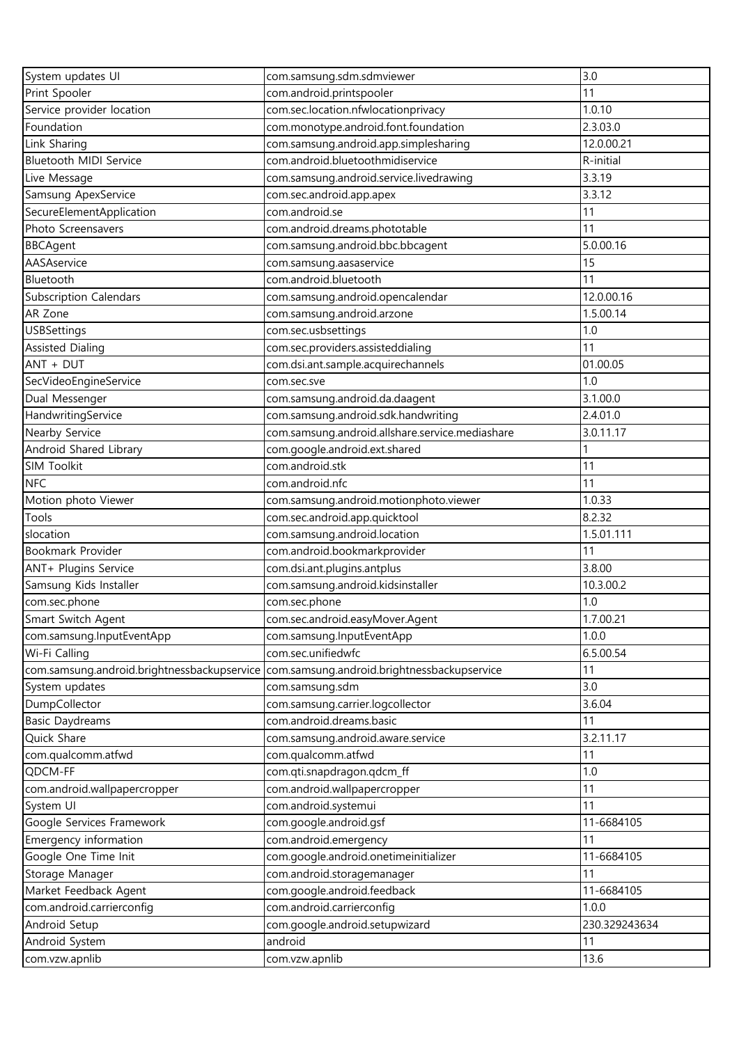| System updates UI                           | com.samsung.sdm.sdmviewer                       | 3.0           |
|---------------------------------------------|-------------------------------------------------|---------------|
| Print Spooler                               | com.android.printspooler                        | 11            |
| Service provider location                   | com.sec.location.nfwlocationprivacy             | 1.0.10        |
| Foundation                                  | com.monotype.android.font.foundation            | 2.3.03.0      |
| Link Sharing                                | com.samsung.android.app.simplesharing           | 12.0.00.21    |
| <b>Bluetooth MIDI Service</b>               | com.android.bluetoothmidiservice                | R-initial     |
| Live Message                                | com.samsung.android.service.livedrawing         | 3.3.19        |
| Samsung ApexService                         | com.sec.android.app.apex                        | 3.3.12        |
| SecureElementApplication                    | com.android.se                                  | 11            |
| Photo Screensavers                          | com.android.dreams.phototable                   | 11            |
| <b>BBCAgent</b>                             | com.samsung.android.bbc.bbcagent                | 5.0.00.16     |
| AASAservice                                 | com.samsung.aasaservice                         | 15            |
| Bluetooth                                   | com.android.bluetooth                           | 11            |
| <b>Subscription Calendars</b>               | com.samsung.android.opencalendar                | 12.0.00.16    |
| AR Zone                                     | com.samsung.android.arzone                      | 1.5.00.14     |
| <b>USBSettings</b>                          | com.sec.usbsettings                             | 1.0           |
| <b>Assisted Dialing</b>                     | com.sec.providers.assisteddialing               | 11            |
| ANT + DUT                                   | com.dsi.ant.sample.acquirechannels              | 01.00.05      |
| SecVideoEngineService                       | com.sec.sve                                     | 1.0           |
|                                             |                                                 |               |
| Dual Messenger                              | com.samsung.android.da.daagent                  | 3.1.00.0      |
| HandwritingService                          | com.samsung.android.sdk.handwriting             | 2.4.01.0      |
| Nearby Service                              | com.samsung.android.allshare.service.mediashare | 3.0.11.17     |
| Android Shared Library                      | com.google.android.ext.shared                   |               |
| SIM Toolkit                                 | com.android.stk                                 | 11            |
| <b>NFC</b>                                  | com.android.nfc                                 | 11            |
| Motion photo Viewer                         | com.samsung.android.motionphoto.viewer          | 1.0.33        |
| Tools                                       | com.sec.android.app.quicktool                   | 8.2.32        |
| slocation                                   | com.samsung.android.location                    | 1.5.01.111    |
| Bookmark Provider                           | com.android.bookmarkprovider                    | 11            |
| ANT+ Plugins Service                        | com.dsi.ant.plugins.antplus                     | 3.8.00        |
| Samsung Kids Installer                      | com.samsung.android.kidsinstaller               | 10.3.00.2     |
| com.sec.phone                               | com.sec.phone                                   | 1.0           |
| Smart Switch Agent                          | com.sec.android.easyMover.Agent                 | 1.7.00.21     |
| com.samsung.InputEventApp                   | com.samsung.InputEventApp                       | 1.0.0         |
| Wi-Fi Calling                               | com.sec.unifiedwfc                              | 6.5.00.54     |
| com.samsung.android.brightnessbackupservice | com.samsung.android.brightnessbackupservice     | 11            |
| System updates                              | com.samsung.sdm                                 | 3.0           |
| DumpCollector                               | com.samsung.carrier.logcollector                | 3.6.04        |
| <b>Basic Daydreams</b>                      | com.android.dreams.basic                        | 11            |
| Quick Share                                 | com.samsung.android.aware.service               | 3.2.11.17     |
| com.qualcomm.atfwd                          | com.qualcomm.atfwd                              | 11            |
| QDCM-FF                                     | com.qti.snapdragon.qdcm_ff                      | 1.0           |
| com.android.wallpapercropper                | com.android.wallpapercropper                    | 11            |
| System UI                                   | com.android.systemui                            | 11            |
| Google Services Framework                   | com.google.android.gsf                          | 11-6684105    |
| Emergency information                       | com.android.emergency                           | 11            |
| Google One Time Init                        | com.google.android.onetimeinitializer           | 11-6684105    |
| Storage Manager                             | com.android.storagemanager                      | 11            |
| Market Feedback Agent                       | com.google.android.feedback                     | 11-6684105    |
| com.android.carrierconfig                   | com.android.carrierconfig                       | 1.0.0         |
| Android Setup                               | com.google.android.setupwizard                  | 230.329243634 |
| Android System                              | android                                         | 11            |
| com.vzw.apnlib                              | com.vzw.apnlib                                  | 13.6          |
|                                             |                                                 |               |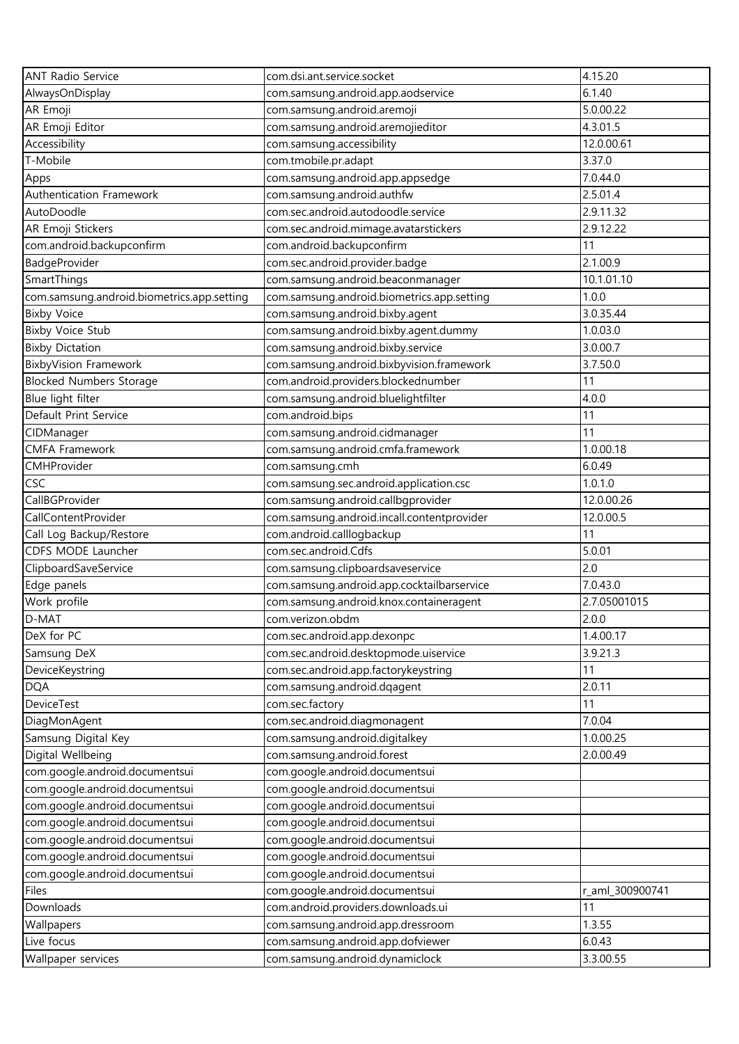| <b>ANT Radio Service</b>                   | com.dsi.ant.service.socket                 | 4.15.20         |
|--------------------------------------------|--------------------------------------------|-----------------|
| AlwaysOnDisplay                            | com.samsung.android.app.aodservice         | 6.1.40          |
| AR Emoji                                   | com.samsung.android.aremoji                | 5.0.00.22       |
| AR Emoji Editor                            | com.samsung.android.aremojieditor          | 4.3.01.5        |
| Accessibility                              | com.samsung.accessibility                  | 12.0.00.61      |
| T-Mobile                                   | com.tmobile.pr.adapt                       | 3.37.0          |
| Apps                                       | com.samsung.android.app.appsedge           | 7.0.44.0        |
| Authentication Framework                   | com.samsung.android.authfw                 | 2.5.01.4        |
| AutoDoodle                                 | com.sec.android.autodoodle.service         | 2.9.11.32       |
| AR Emoji Stickers                          | com.sec.android.mimage.avatarstickers      | 2.9.12.22       |
| com.android.backupconfirm                  | com.android.backupconfirm                  | 11              |
| BadgeProvider                              | com.sec.android.provider.badge             | 2.1.00.9        |
| SmartThings                                | com.samsung.android.beaconmanager          | 10.1.01.10      |
| com.samsung.android.biometrics.app.setting | com.samsung.android.biometrics.app.setting | 1.0.0           |
| <b>Bixby Voice</b>                         | com.samsung.android.bixby.agent            | 3.0.35.44       |
| <b>Bixby Voice Stub</b>                    | com.samsung.android.bixby.agent.dummy      | 1.0.03.0        |
| <b>Bixby Dictation</b>                     | com.samsung.android.bixby.service          | 3.0.00.7        |
| <b>BixbyVision Framework</b>               | com.samsung.android.bixbyvision.framework  | 3.7.50.0        |
| <b>Blocked Numbers Storage</b>             | com.android.providers.blockednumber        | 11              |
| Blue light filter                          | com.samsung.android.bluelightfilter        | 4.0.0           |
| Default Print Service                      | com.android.bips                           | 11              |
| CIDManager                                 | com.samsung.android.cidmanager             | 11              |
| <b>CMFA Framework</b>                      | com.samsung.android.cmfa.framework         | 1.0.00.18       |
| CMHProvider                                | com.samsung.cmh                            | 6.0.49          |
| CSC                                        | com.samsung.sec.android.application.csc    | 1.0.1.0         |
| CallBGProvider                             | com.samsung.android.callbgprovider         | 12.0.00.26      |
| CallContentProvider                        | com.samsung.android.incall.contentprovider | 12.0.00.5       |
| Call Log Backup/Restore                    | com.android.calllogbackup                  | 11              |
| CDFS MODE Launcher                         | com.sec.android.Cdfs                       | 5.0.01          |
| ClipboardSaveService                       | com.samsung.clipboardsaveservice           | 2.0             |
| Edge panels                                | com.samsung.android.app.cocktailbarservice | 7.0.43.0        |
| Work profile                               | com.samsung.android.knox.containeragent    | 2.7.05001015    |
| D-MAT                                      | com.verizon.obdm                           | 2.0.0           |
| DeX for PC                                 | com.sec.android.app.dexonpc                | 1.4.00.17       |
| Samsung DeX                                | com.sec.android.desktopmode.uiservice      | 3.9.21.3        |
| DeviceKeystring                            | com.sec.android.app.factorykeystring       | 11              |
| <b>DQA</b>                                 | com.samsung.android.dqagent                | 2.0.11          |
| DeviceTest                                 | com.sec.factory                            | 11              |
| DiagMonAgent                               | com.sec.android.diagmonagent               | 7.0.04          |
| Samsung Digital Key                        | com.samsung.android.digitalkey             | 1.0.00.25       |
| Digital Wellbeing                          | com.samsung.android.forest                 | 2.0.00.49       |
| com.google.android.documentsui             | com.google.android.documentsui             |                 |
| com.google.android.documentsui             | com.google.android.documentsui             |                 |
| com.google.android.documentsui             | com.google.android.documentsui             |                 |
| com.google.android.documentsui             | com.google.android.documentsui             |                 |
| com.google.android.documentsui             | com.google.android.documentsui             |                 |
| com.google.android.documentsui             | com.google.android.documentsui             |                 |
| com.google.android.documentsui             | com.google.android.documentsui             |                 |
| Files                                      | com.google.android.documentsui             | r_aml_300900741 |
| Downloads                                  | com.android.providers.downloads.ui         | 11              |
| Wallpapers                                 | com.samsung.android.app.dressroom          | 1.3.55          |
| Live focus                                 | com.samsung.android.app.dofviewer          | 6.0.43          |
| Wallpaper services                         | com.samsung.android.dynamiclock            | 3.3.00.55       |
|                                            |                                            |                 |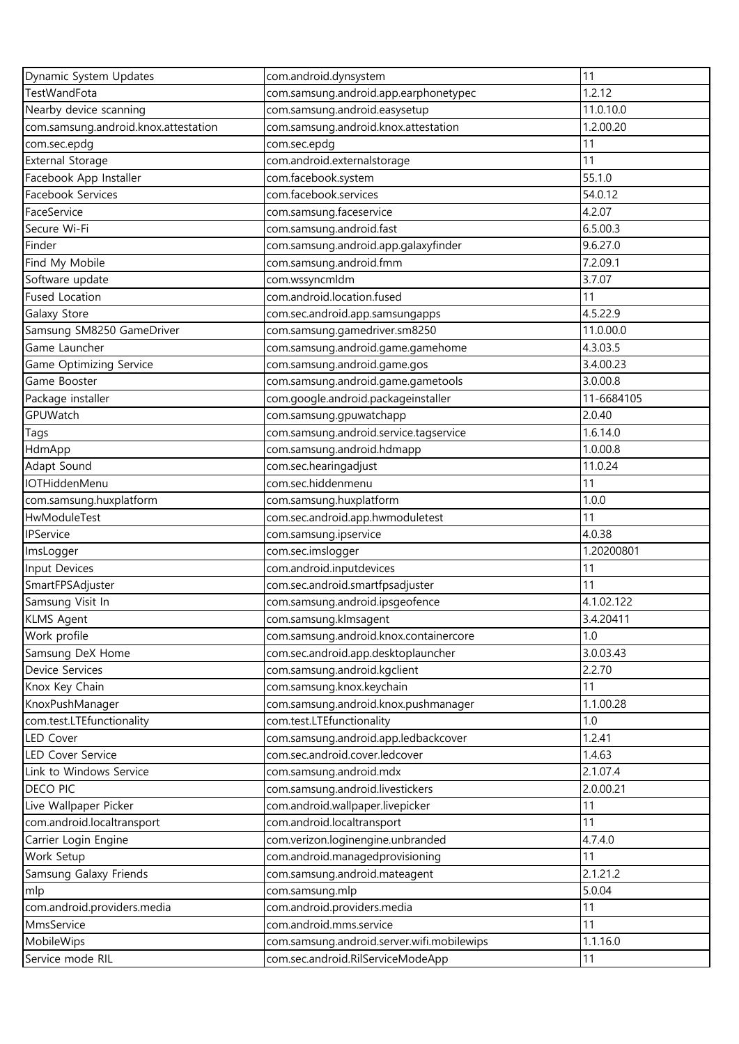| Dynamic System Updates               | com.android.dynsystem                      | 11         |
|--------------------------------------|--------------------------------------------|------------|
| <b>TestWandFota</b>                  | com.samsung.android.app.earphonetypec      | 1.2.12     |
| Nearby device scanning               | com.samsung.android.easysetup              | 11.0.10.0  |
| com.samsung.android.knox.attestation | com.samsung.android.knox.attestation       | 1.2.00.20  |
| com.sec.epdg                         | com.sec.epdg                               | 11         |
| <b>External Storage</b>              | com.android.externalstorage                | 11         |
| Facebook App Installer               | com.facebook.system                        | 55.1.0     |
| Facebook Services                    | com.facebook.services                      | 54.0.12    |
| FaceService                          | com.samsung.faceservice                    | 4.2.07     |
| Secure Wi-Fi                         | com.samsung.android.fast                   | 6.5.00.3   |
| Finder                               | com.samsung.android.app.galaxyfinder       | 9.6.27.0   |
| Find My Mobile                       | com.samsung.android.fmm                    | 7.2.09.1   |
| Software update                      | com.wssyncmldm                             | 3.7.07     |
| <b>Fused Location</b>                | com.android.location.fused                 | 11         |
| Galaxy Store                         | com.sec.android.app.samsungapps            | 4.5.22.9   |
| Samsung SM8250 GameDriver            | com.samsung.gamedriver.sm8250              | 11.0.00.0  |
| Game Launcher                        | com.samsung.android.game.gamehome          | 4.3.03.5   |
| Game Optimizing Service              | com.samsung.android.game.gos               | 3.4.00.23  |
| Game Booster                         | com.samsung.android.game.gametools         | 3.0.00.8   |
| Package installer                    | com.google.android.packageinstaller        | 11-6684105 |
| GPUWatch                             | com.samsung.gpuwatchapp                    | 2.0.40     |
| Tags                                 | com.samsung.android.service.tagservice     | 1.6.14.0   |
| HdmApp                               | com.samsung.android.hdmapp                 | 1.0.00.8   |
| Adapt Sound                          | com.sec.hearingadjust                      | 11.0.24    |
| IOTHiddenMenu                        | com.sec.hiddenmenu                         | 11         |
| com.samsung.huxplatform              | com.samsung.huxplatform                    | 1.0.0      |
| HwModuleTest                         | com.sec.android.app.hwmoduletest           | 11         |
| IPService                            | com.samsung.ipservice                      | 4.0.38     |
| ImsLogger                            | com.sec.imslogger                          | 1.20200801 |
| Input Devices                        | com.android.inputdevices                   | 11         |
| SmartFPSAdjuster                     | com.sec.android.smartfpsadjuster           | 11         |
| Samsung Visit In                     | com.samsung.android.ipsgeofence            | 4.1.02.122 |
| <b>KLMS Agent</b>                    | com.samsung.klmsagent                      | 3.4.20411  |
| Work profile                         | com.samsung.android.knox.containercore     | 1.0        |
| Samsung DeX Home                     | com.sec.android.app.desktoplauncher        | 3.0.03.43  |
| Device Services                      | com.samsung.android.kgclient               | 2.2.70     |
| Knox Key Chain                       | com.samsung.knox.keychain                  | 11         |
| KnoxPushManager                      | com.samsung.android.knox.pushmanager       | 1.1.00.28  |
| com.test.LTEfunctionality            | com.test.LTEfunctionality                  | 1.0        |
| LED Cover                            | com.samsung.android.app.ledbackcover       | 1.2.41     |
| LED Cover Service                    | com.sec.android.cover.ledcover             | 1.4.63     |
| Link to Windows Service              | com.samsung.android.mdx                    | 2.1.07.4   |
| DECO PIC                             | com.samsung.android.livestickers           | 2.0.00.21  |
| Live Wallpaper Picker                | com.android.wallpaper.livepicker           | 11         |
| com.android.localtransport           | com.android.localtransport                 | 11         |
| Carrier Login Engine                 | com.verizon.loginengine.unbranded          | 4.7.4.0    |
| Work Setup                           | com.android.managedprovisioning            | 11         |
| Samsung Galaxy Friends               | com.samsung.android.mateagent              | 2.1.21.2   |
| mlp                                  | com.samsung.mlp                            | 5.0.04     |
| com.android.providers.media          | com.android.providers.media                | 11         |
| MmsService                           | com.android.mms.service                    | 11         |
| MobileWips                           | com.samsung.android.server.wifi.mobilewips | 1.1.16.0   |
| Service mode RIL                     | com.sec.android.RilServiceModeApp          | 11         |
|                                      |                                            |            |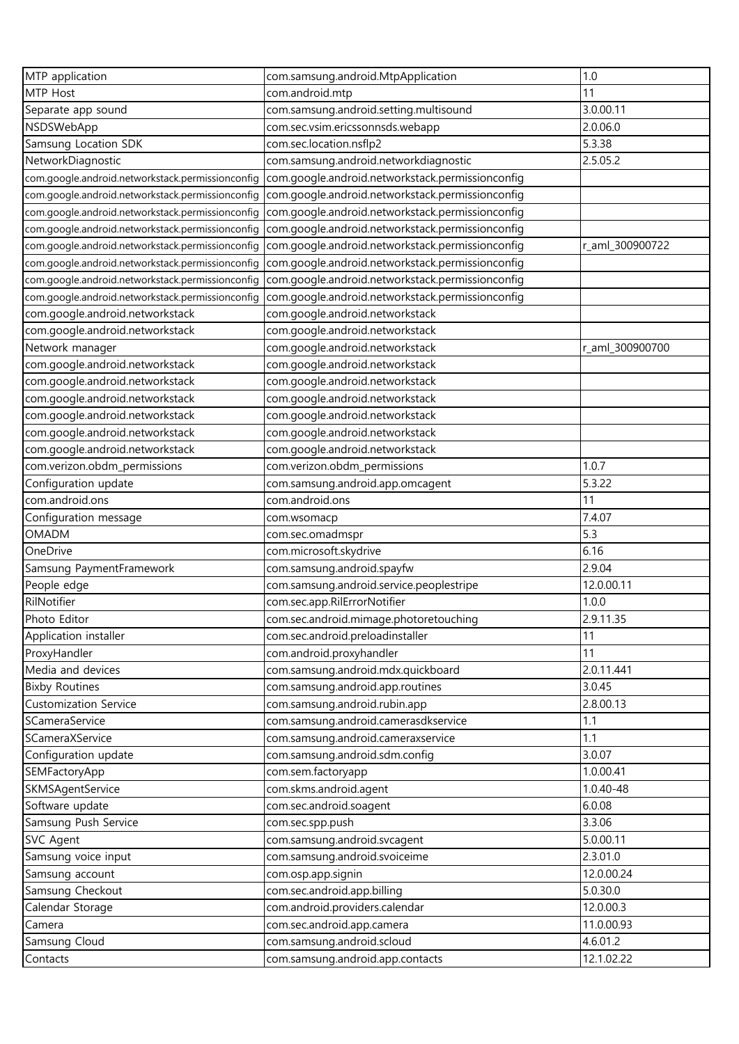| MTP application                                  | com.samsung.android.MtpApplication               | 1.0             |
|--------------------------------------------------|--------------------------------------------------|-----------------|
| MTP Host                                         | com.android.mtp                                  | 11              |
| Separate app sound                               | com.samsung.android.setting.multisound           | 3.0.00.11       |
| NSDSWebApp                                       | com.sec.vsim.ericssonnsds.webapp                 | 2.0.06.0        |
| Samsung Location SDK                             | com.sec.location.nsflp2                          | 5.3.38          |
| NetworkDiagnostic                                | com.samsung.android.networkdiagnostic            | 2.5.05.2        |
| com.google.android.networkstack.permissionconfig | com.google.android.networkstack.permissionconfig |                 |
| com.google.android.networkstack.permissionconfig | com.google.android.networkstack.permissionconfig |                 |
| com.google.android.networkstack.permissionconfig | com.google.android.networkstack.permissionconfig |                 |
| com.google.android.networkstack.permissionconfig | com.google.android.networkstack.permissionconfig |                 |
| com.google.android.networkstack.permissionconfig | com.google.android.networkstack.permissionconfig | r_aml_300900722 |
| com.google.android.networkstack.permissionconfig | com.google.android.networkstack.permissionconfig |                 |
| com.google.android.networkstack.permissionconfig | com.google.android.networkstack.permissionconfig |                 |
| com.google.android.networkstack.permissionconfig | com.google.android.networkstack.permissionconfig |                 |
| com.google.android.networkstack                  | com.google.android.networkstack                  |                 |
| com.google.android.networkstack                  | com.google.android.networkstack                  |                 |
| Network manager                                  | com.google.android.networkstack                  | r_aml_300900700 |
| com.google.android.networkstack                  | com.google.android.networkstack                  |                 |
| com.google.android.networkstack                  | com.google.android.networkstack                  |                 |
| com.google.android.networkstack                  | com.google.android.networkstack                  |                 |
| com.google.android.networkstack                  | com.google.android.networkstack                  |                 |
| com.google.android.networkstack                  | com.google.android.networkstack                  |                 |
| com.google.android.networkstack                  | com.google.android.networkstack                  |                 |
| com.verizon.obdm_permissions                     | com.verizon.obdm_permissions                     | 1.0.7           |
| Configuration update                             | com.samsung.android.app.omcagent                 | 5.3.22          |
| com.android.ons                                  | com.android.ons                                  | 11              |
| Configuration message                            | com.wsomacp                                      | 7.4.07          |
| <b>OMADM</b>                                     | com.sec.omadmspr                                 | 5.3             |
| OneDrive                                         | com.microsoft.skydrive                           | 6.16            |
| Samsung PaymentFramework                         | com.samsung.android.spayfw                       | 2.9.04          |
| People edge                                      | com.samsung.android.service.peoplestripe         | 12.0.00.11      |
| RilNotifier                                      | com.sec.app.RilErrorNotifier                     | 1.0.0           |
| Photo Editor                                     | com.sec.android.mimage.photoretouching           | 2.9.11.35       |
| Application installer                            | com.sec.android.preloadinstaller                 | 11              |
| ProxyHandler                                     | com.android.proxyhandler                         | 11              |
| Media and devices                                | com.samsung.android.mdx.quickboard               | 2.0.11.441      |
| <b>Bixby Routines</b>                            | com.samsung.android.app.routines                 | 3.0.45          |
| <b>Customization Service</b>                     | com.samsung.android.rubin.app                    | 2.8.00.13       |
| SCameraService                                   | com.samsung.android.camerasdkservice             | 1.1             |
| SCameraXService                                  | com.samsung.android.cameraxservice               | 1.1             |
| Configuration update                             | com.samsung.android.sdm.config                   | 3.0.07          |
| SEMFactoryApp                                    | com.sem.factoryapp                               | 1.0.00.41       |
| SKMSAgentService                                 | com.skms.android.agent                           | 1.0.40-48       |
| Software update                                  | com.sec.android.soagent                          | 6.0.08          |
| Samsung Push Service                             | com.sec.spp.push                                 | 3.3.06          |
| SVC Agent                                        | com.samsung.android.svcagent                     | 5.0.00.11       |
| Samsung voice input                              | com.samsung.android.svoiceime                    | 2.3.01.0        |
| Samsung account                                  | com.osp.app.signin                               | 12.0.00.24      |
| Samsung Checkout                                 | com.sec.android.app.billing                      | 5.0.30.0        |
| Calendar Storage                                 | com.android.providers.calendar                   | 12.0.00.3       |
| Camera                                           | com.sec.android.app.camera                       | 11.0.00.93      |
| Samsung Cloud                                    | com.samsung.android.scloud                       | 4.6.01.2        |
| Contacts                                         | com.samsung.android.app.contacts                 | 12.1.02.22      |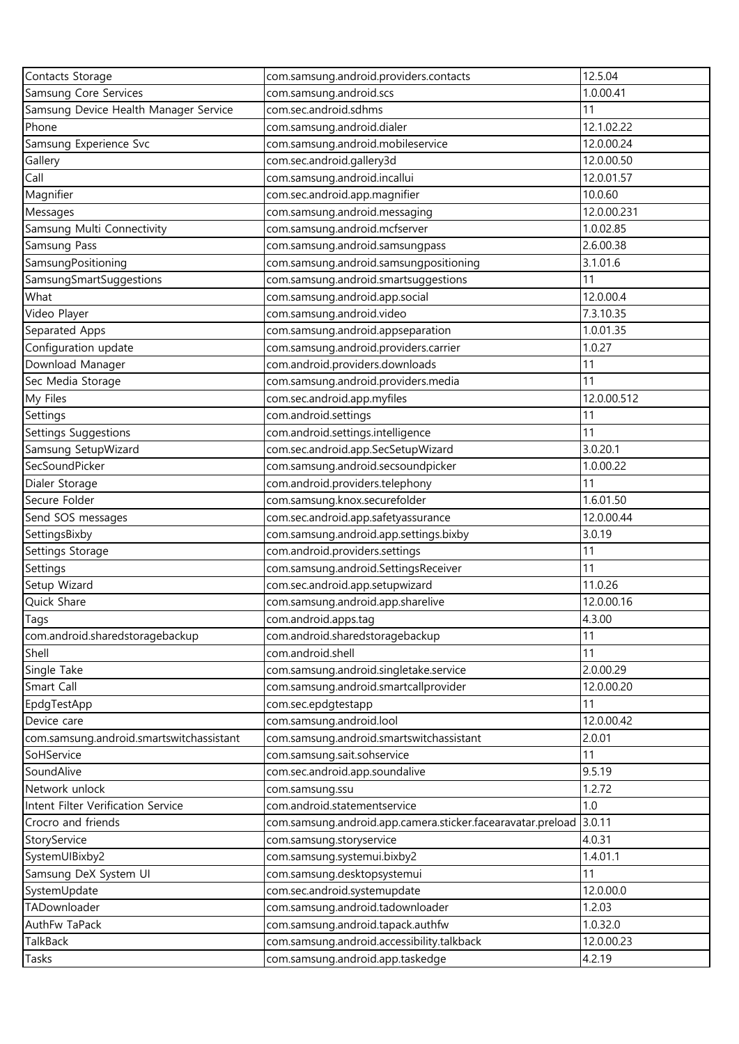| Contacts Storage                         | com.samsung.android.providers.contacts                      | 12.5.04     |
|------------------------------------------|-------------------------------------------------------------|-------------|
| Samsung Core Services                    | com.samsung.android.scs                                     | 1.0.00.41   |
| Samsung Device Health Manager Service    | com.sec.android.sdhms                                       | 11          |
| Phone                                    | com.samsung.android.dialer                                  | 12.1.02.22  |
| Samsung Experience Svc                   | com.samsung.android.mobileservice                           | 12.0.00.24  |
| Gallery                                  | com.sec.android.gallery3d                                   | 12.0.00.50  |
| Call                                     | com.samsung.android.incallui                                | 12.0.01.57  |
| Magnifier                                | com.sec.android.app.magnifier                               | 10.0.60     |
| Messages                                 | com.samsung.android.messaging                               | 12.0.00.231 |
| Samsung Multi Connectivity               | com.samsung.android.mcfserver                               | 1.0.02.85   |
| Samsung Pass                             | com.samsung.android.samsungpass                             | 2.6.00.38   |
| SamsungPositioning                       | com.samsung.android.samsungpositioning                      | 3.1.01.6    |
| SamsungSmartSuggestions                  | com.samsung.android.smartsuggestions                        | 11          |
| What                                     | com.samsung.android.app.social                              | 12.0.00.4   |
| Video Player                             | com.samsung.android.video                                   | 7.3.10.35   |
| Separated Apps                           | com.samsung.android.appseparation                           | 1.0.01.35   |
| Configuration update                     | com.samsung.android.providers.carrier                       | 1.0.27      |
| Download Manager                         | com.android.providers.downloads                             | 11          |
| Sec Media Storage                        | com.samsung.android.providers.media                         | 11          |
| My Files                                 | com.sec.android.app.myfiles                                 | 12.0.00.512 |
| Settings                                 | com.android.settings                                        | 11          |
| Settings Suggestions                     | com.android.settings.intelligence                           | 11          |
| Samsung SetupWizard                      | com.sec.android.app.SecSetupWizard                          | 3.0.20.1    |
| SecSoundPicker                           | com.samsung.android.secsoundpicker                          | 1.0.00.22   |
| Dialer Storage                           | com.android.providers.telephony                             | 11          |
| Secure Folder                            | com.samsung.knox.securefolder                               | 1.6.01.50   |
| Send SOS messages                        | com.sec.android.app.safetyassurance                         | 12.0.00.44  |
| SettingsBixby                            | com.samsung.android.app.settings.bixby                      | 3.0.19      |
| Settings Storage                         | com.android.providers.settings                              | 11          |
| Settings                                 | com.samsung.android.SettingsReceiver                        | 11          |
| Setup Wizard                             | com.sec.android.app.setupwizard                             | 11.0.26     |
| Quick Share                              | com.samsung.android.app.sharelive                           | 12.0.00.16  |
| Tags                                     | com.android.apps.tag                                        | 4.3.00      |
| com.android.sharedstoragebackup          | com.android.sharedstoragebackup                             | 11          |
| Shell                                    | com.android.shell                                           | 11          |
| Single Take                              | com.samsung.android.singletake.service                      | 2.0.00.29   |
| Smart Call                               | com.samsung.android.smartcallprovider                       | 12.0.00.20  |
| EpdgTestApp                              | com.sec.epdgtestapp                                         | 11          |
| Device care                              | com.samsung.android.lool                                    | 12.0.00.42  |
| com.samsung.android.smartswitchassistant | com.samsung.android.smartswitchassistant                    | 2.0.01      |
| SoHService                               | com.samsung.sait.sohservice                                 | 11          |
| SoundAlive                               | com.sec.android.app.soundalive                              | 9.5.19      |
| Network unlock                           | com.samsung.ssu                                             | 1.2.72      |
| Intent Filter Verification Service       | com.android.statementservice                                | 1.0         |
| Crocro and friends                       | com.samsung.android.app.camera.sticker.facearavatar.preload | 3.0.11      |
| StoryService                             | com.samsung.storyservice                                    | 4.0.31      |
| SystemUIBixby2                           | com.samsung.systemui.bixby2                                 | 1.4.01.1    |
| Samsung DeX System UI                    | com.samsung.desktopsystemui                                 | 11          |
| SystemUpdate                             | com.sec.android.systemupdate                                | 12.0.00.0   |
| TADownloader                             | com.samsung.android.tadownloader                            | 1.2.03      |
| AuthFw TaPack                            | com.samsung.android.tapack.authfw                           | 1.0.32.0    |
| TalkBack                                 | com.samsung.android.accessibility.talkback                  | 12.0.00.23  |
| Tasks                                    | com.samsung.android.app.taskedge                            | 4.2.19      |
|                                          |                                                             |             |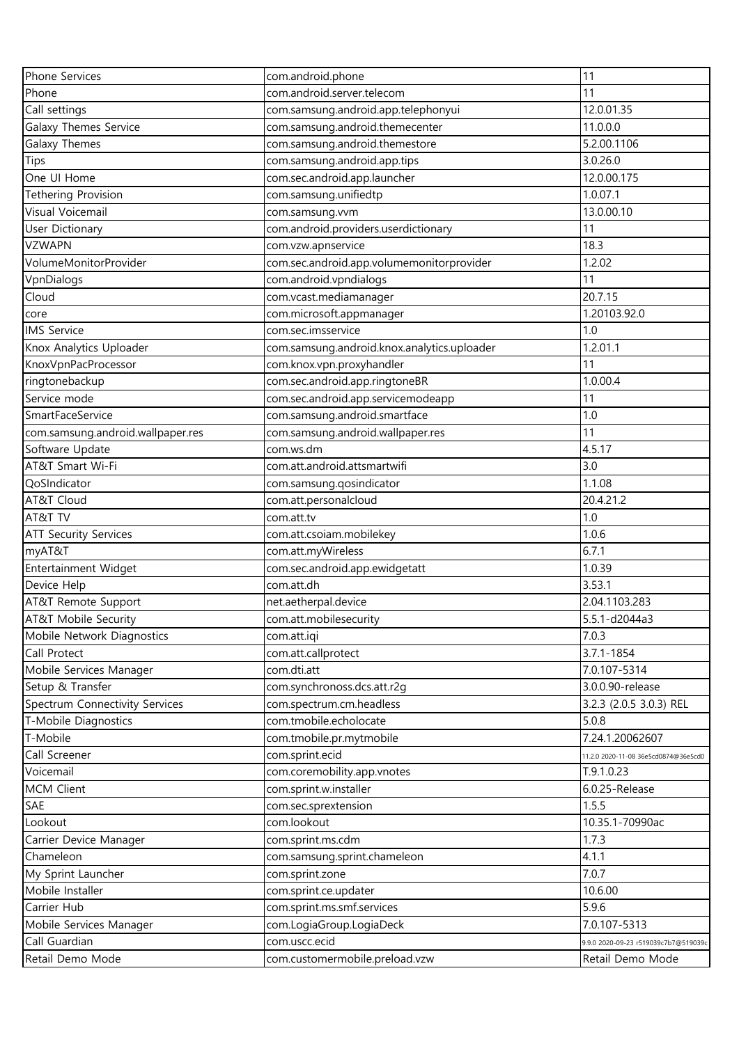| Phone Services                              | com.android.phone                                  | 11                                   |
|---------------------------------------------|----------------------------------------------------|--------------------------------------|
| Phone                                       | com.android.server.telecom                         | 11                                   |
| Call settings                               | com.samsung.android.app.telephonyui                | 12.0.01.35                           |
| Galaxy Themes Service                       | com.samsung.android.themecenter                    | 11.0.0.0                             |
| Galaxy Themes                               | com.samsung.android.themestore                     | 5.2.00.1106                          |
| Tips                                        | com.samsung.android.app.tips                       | 3.0.26.0                             |
| One UI Home                                 | com.sec.android.app.launcher                       | 12.0.00.175                          |
| Tethering Provision                         | com.samsung.unifiedtp                              | 1.0.07.1                             |
| Visual Voicemail                            | com.samsung.vvm                                    | 13.0.00.10                           |
| <b>User Dictionary</b>                      | com.android.providers.userdictionary               | 11                                   |
| <b>VZWAPN</b>                               | com.vzw.apnservice                                 | 18.3                                 |
| VolumeMonitorProvider                       | com.sec.android.app.volumemonitorprovider          | 1.2.02                               |
| VpnDialogs                                  | com.android.vpndialogs                             | 11                                   |
| Cloud                                       | com.vcast.mediamanager                             | 20.7.15                              |
| core                                        | com.microsoft.appmanager                           | 1.20103.92.0                         |
| <b>IMS Service</b>                          | com.sec.imsservice                                 | 1.0                                  |
| Knox Analytics Uploader                     | com.samsung.android.knox.analytics.uploader        | 1.2.01.1                             |
| KnoxVpnPacProcessor                         | com.knox.vpn.proxyhandler                          | 11                                   |
| ringtonebackup                              | com.sec.android.app.ringtoneBR                     | 1.0.00.4                             |
| Service mode                                | com.sec.android.app.servicemodeapp                 | 11                                   |
| SmartFaceService                            | com.samsung.android.smartface                      | 1.0                                  |
| com.samsung.android.wallpaper.res           | com.samsung.android.wallpaper.res                  | 11                                   |
| Software Update                             | com.ws.dm                                          | 4.5.17                               |
| AT&T Smart Wi-Fi                            | com.att.android.attsmartwifi                       | 3.0                                  |
| QoSIndicator                                | com.samsung.qosindicator                           | 1.1.08                               |
| AT&T Cloud                                  | com.att.personalcloud                              | 20.4.21.2                            |
| AT&T TV                                     | com.att.tv                                         | 1.0                                  |
| <b>ATT Security Services</b>                | com.att.csoiam.mobilekey                           | 1.0.6                                |
| myAT&T                                      | com.att.myWireless                                 | 6.7.1                                |
| Entertainment Widget                        | com.sec.android.app.ewidgetatt                     | 1.0.39                               |
| Device Help                                 | com.att.dh                                         | 3.53.1                               |
|                                             | net.aetherpal.device                               | 2.04.1103.283                        |
| AT&T Remote Support<br>AT&T Mobile Security | com.att.mobilesecurity                             | 5.5.1-d2044a3                        |
| Mobile Network Diagnostics                  | com.att.iqi                                        | 7.0.3                                |
| Call Protect                                | com.att.callprotect                                | $3.7.1 - 1854$                       |
|                                             | com.dti.att                                        | 7.0.107-5314                         |
| Mobile Services Manager                     |                                                    |                                      |
| Setup & Transfer                            | com.synchronoss.dcs.att.r2g                        | 3.0.0.90-release                     |
| Spectrum Connectivity Services              | com.spectrum.cm.headless<br>com.tmobile.echolocate | 3.2.3 (2.0.5 3.0.3) REL<br>5.0.8     |
| T-Mobile Diagnostics                        |                                                    |                                      |
| T-Mobile                                    | com.tmobile.pr.mytmobile                           | 7.24.1.20062607                      |
| Call Screener                               | com.sprint.ecid                                    | 11.2.0 2020-11-08 36e5cd0874@36e5cd0 |
| Voicemail                                   | com.coremobility.app.vnotes                        | T.9.1.0.23                           |
| <b>MCM Client</b>                           | com.sprint.w.installer                             | 6.0.25-Release                       |
| SAE                                         | com.sec.sprextension                               | 1.5.5                                |
| Lookout                                     | com.lookout                                        | 10.35.1-70990ac                      |
| Carrier Device Manager                      | com.sprint.ms.cdm                                  | 1.7.3                                |
| Chameleon                                   | com.samsung.sprint.chameleon                       | 4.1.1                                |
| My Sprint Launcher                          | com.sprint.zone                                    | 7.0.7                                |
| Mobile Installer                            | com.sprint.ce.updater                              | 10.6.00                              |
| Carrier Hub                                 | com.sprint.ms.smf.services                         | 5.9.6                                |
| Mobile Services Manager                     | com.LogiaGroup.LogiaDeck                           | 7.0.107-5313                         |
| Call Guardian                               | com.uscc.ecid                                      | 9.9.0 2020-09-23 r519039c7b7@519039c |
| Retail Demo Mode                            | com.customermobile.preload.vzw                     | Retail Demo Mode                     |